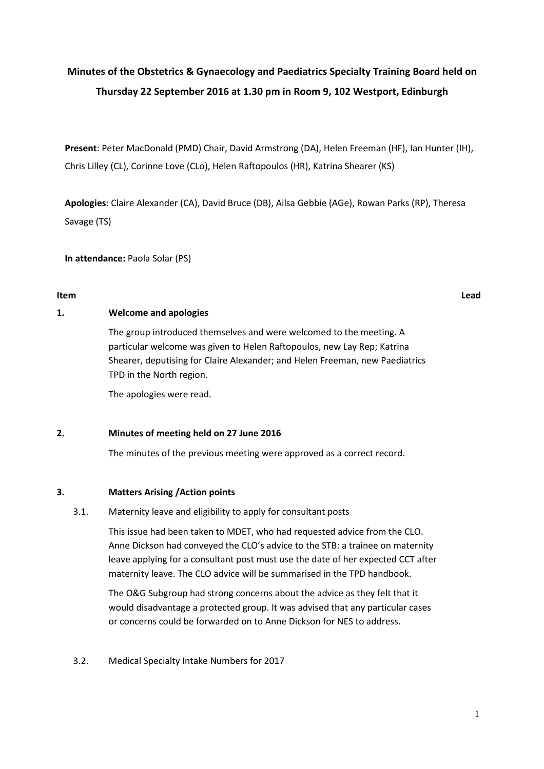# **Minutes of the Obstetrics & Gynaecology and Paediatrics Specialty Training Board held on Thursday 22 September 2016 at 1.30 pm in Room 9, 102 Westport, Edinburgh**

**Present**: Peter MacDonald (PMD) Chair, David Armstrong (DA), Helen Freeman (HF), Ian Hunter (IH), Chris Lilley (CL), Corinne Love (CLo), Helen Raftopoulos (HR), Katrina Shearer (KS)

**Apologies**: Claire Alexander (CA), David Bruce (DB), Ailsa Gebbie (AGe), Rowan Parks (RP), Theresa Savage (TS)

**In attendance:** Paola Solar (PS)

#### **Item Lead**

### **1. Welcome and apologies**

The group introduced themselves and were welcomed to the meeting. A particular welcome was given to Helen Raftopoulos, new Lay Rep; Katrina Shearer, deputising for Claire Alexander; and Helen Freeman, new Paediatrics TPD in the North region.

The apologies were read.

#### **2. Minutes of meeting held on 27 June 2016**

The minutes of the previous meeting were approved as a correct record.

# **3. Matters Arising /Action points**

#### 3.1. Maternity leave and eligibility to apply for consultant posts

This issue had been taken to MDET, who had requested advice from the CLO. Anne Dickson had conveyed the CLO's advice to the STB: a trainee on maternity leave applying for a consultant post must use the date of her expected CCT after maternity leave. The CLO advice will be summarised in the TPD handbook.

The O&G Subgroup had strong concerns about the advice as they felt that it would disadvantage a protected group. It was advised that any particular cases or concerns could be forwarded on to Anne Dickson for NES to address.

3.2. Medical Specialty Intake Numbers for 2017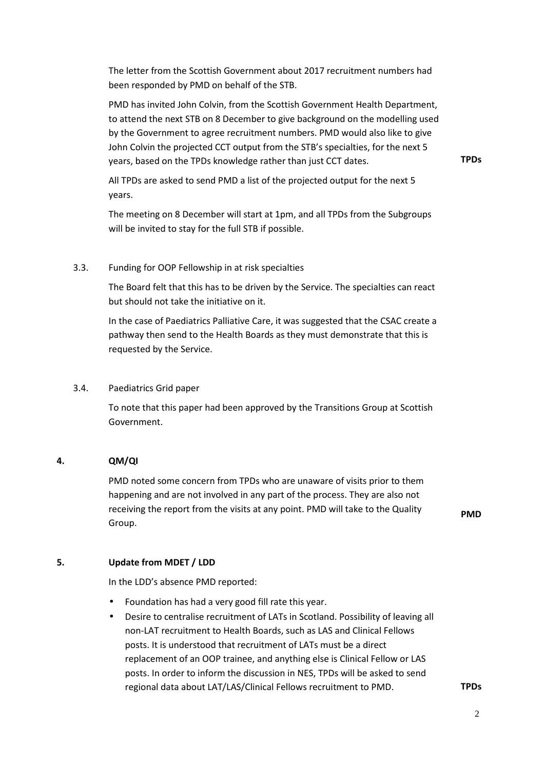The letter from the Scottish Government about 2017 recruitment numbers had been responded by PMD on behalf of the STB.

PMD has invited John Colvin, from the Scottish Government Health Department, to attend the next STB on 8 December to give background on the modelling used by the Government to agree recruitment numbers. PMD would also like to give John Colvin the projected CCT output from the STB's specialties, for the next 5 years, based on the TPDs knowledge rather than just CCT dates.

**TPDs** 

All TPDs are asked to send PMD a list of the projected output for the next 5 years.

The meeting on 8 December will start at 1pm, and all TPDs from the Subgroups will be invited to stay for the full STB if possible.

#### 3.3. Funding for OOP Fellowship in at risk specialties

The Board felt that this has to be driven by the Service. The specialties can react but should not take the initiative on it.

In the case of Paediatrics Palliative Care, it was suggested that the CSAC create a pathway then send to the Health Boards as they must demonstrate that this is requested by the Service.

#### 3.4. Paediatrics Grid paper

To note that this paper had been approved by the Transitions Group at Scottish Government.

#### **4. QM/QI**

PMD noted some concern from TPDs who are unaware of visits prior to them happening and are not involved in any part of the process. They are also not receiving the report from the visits at any point. PMD will take to the Quality Group.

**PMD** 

#### **5. Update from MDET / LDD**

In the LDD's absence PMD reported:

- Foundation has had a very good fill rate this year.
- Desire to centralise recruitment of LATs in Scotland. Possibility of leaving all non-LAT recruitment to Health Boards, such as LAS and Clinical Fellows posts. It is understood that recruitment of LATs must be a direct replacement of an OOP trainee, and anything else is Clinical Fellow or LAS posts. In order to inform the discussion in NES, TPDs will be asked to send regional data about LAT/LAS/Clinical Fellows recruitment to PMD. **TPDs**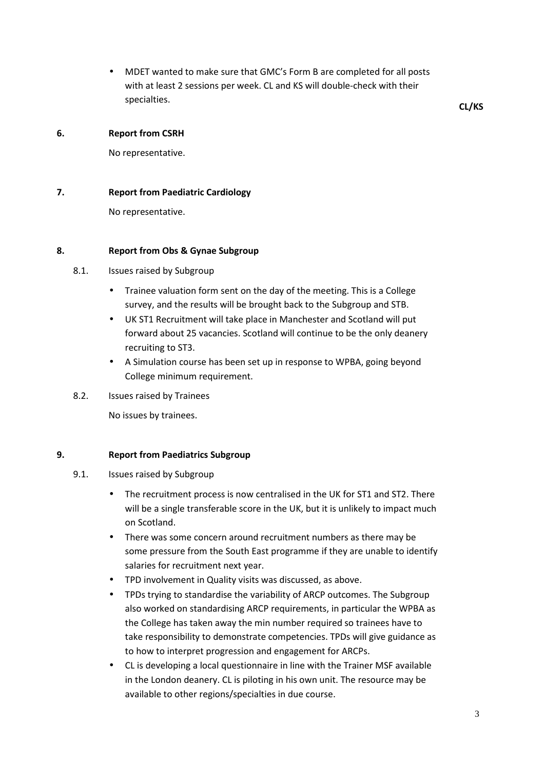• MDET wanted to make sure that GMC's Form B are completed for all posts with at least 2 sessions per week. CL and KS will double-check with their specialties. **CL/KS** 

#### **6. Report from CSRH**

No representative.

#### **7. Report from Paediatric Cardiology**

No representative.

### **8. Report from Obs & Gynae Subgroup**

### 8.1. Issues raised by Subgroup

- Trainee valuation form sent on the day of the meeting. This is a College survey, and the results will be brought back to the Subgroup and STB.
- UK ST1 Recruitment will take place in Manchester and Scotland will put forward about 25 vacancies. Scotland will continue to be the only deanery recruiting to ST3.
- A Simulation course has been set up in response to WPBA, going beyond College minimum requirement.
- 8.2. Issues raised by Trainees

No issues by trainees.

#### **9. Report from Paediatrics Subgroup**

- 9.1. Issues raised by Subgroup
	- The recruitment process is now centralised in the UK for ST1 and ST2. There will be a single transferable score in the UK, but it is unlikely to impact much on Scotland.
	- There was some concern around recruitment numbers as there may be some pressure from the South East programme if they are unable to identify salaries for recruitment next year.
	- TPD involvement in Quality visits was discussed, as above.
	- TPDs trying to standardise the variability of ARCP outcomes. The Subgroup also worked on standardising ARCP requirements, in particular the WPBA as the College has taken away the min number required so trainees have to take responsibility to demonstrate competencies. TPDs will give guidance as to how to interpret progression and engagement for ARCPs.
	- CL is developing a local questionnaire in line with the Trainer MSF available in the London deanery. CL is piloting in his own unit. The resource may be available to other regions/specialties in due course.